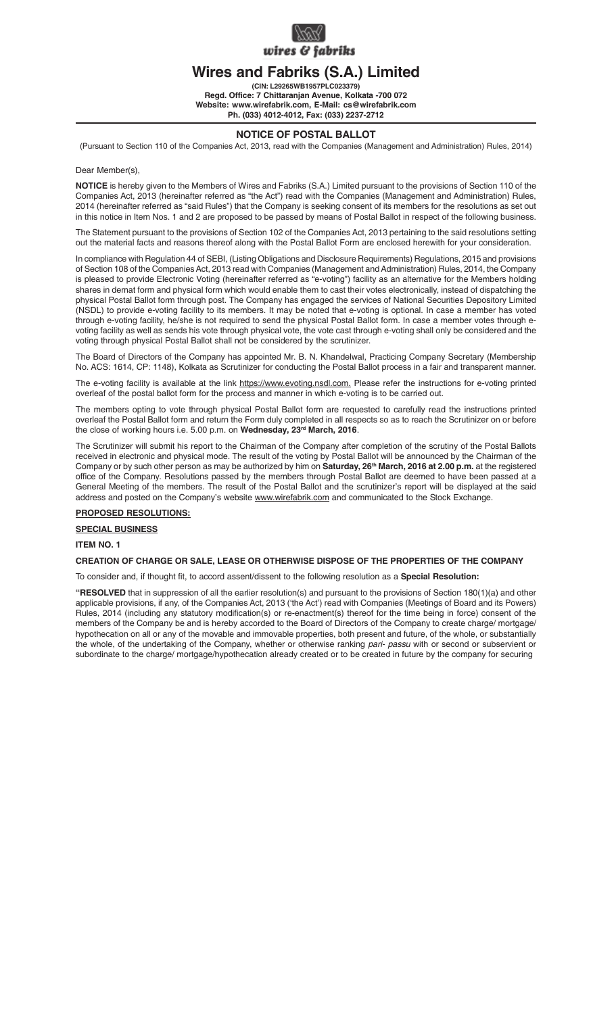

# **Wires and Fabriks (S.A.) Limited**

**(CIN: L29265WB1957PLC023379) Regd. Office: 7 Chittaranjan Avenue, Kolkata -700 072 Website: www.wirefabrik.com, E-Mail: cs@wirefabrik.com Ph. (033) 4012-4012, Fax: (033) 2237-2712**

## **NOTICE OF POSTAL BALLOT**

(Pursuant to Section 110 of the Companies Act, 2013, read with the Companies (Management and Administration) Rules, 2014)

Dear Member(s).

**NOTICE** is hereby given to the Members of Wires and Fabriks (S.A.) Limited pursuant to the provisions of Section 110 of the Companies Act, 2013 (hereinafter referred as "the Act") read with the Companies (Management and Administration) Rules, 2014 (hereinafter referred as "said Rules") that the Company is seeking consent of its members for the resolutions as set out in this notice in Item Nos. 1 and 2 are proposed to be passed by means of Postal Ballot in respect of the following business.

The Statement pursuant to the provisions of Section 102 of the Companies Act, 2013 pertaining to the said resolutions setting out the material facts and reasons thereof along with the Postal Ballot Form are enclosed herewith for your consideration.

In compliance with Regulation 44 of SEBI, (Listing Obligations and Disclosure Requirements) Regulations, 2015 and provisions of Section 108 of the Companies Act, 2013 read with Companies (Management and Administration) Rules, 2014, the Company is pleased to provide Electronic Voting (hereinafter referred as "e-voting") facility as an alternative for the Members holding shares in demat form and physical form which would enable them to cast their votes electronically, instead of dispatching the physical Postal Ballot form through post. The Company has engaged the services of National Securities Depository Limited (NSDL) to provide e-voting facility to its members. It may be noted that e-voting is optional. In case a member has voted through e-voting facility, he/she is not required to send the physical Postal Ballot form. In case a member votes through evoting facility as well as sends his vote through physical vote, the vote cast through e-voting shall only be considered and the voting through physical Postal Ballot shall not be considered by the scrutinizer.

The Board of Directors of the Company has appointed Mr. B. N. Khandelwal, Practicing Company Secretary (Membership No. ACS: 1614, CP: 1148), Kolkata as Scrutinizer for conducting the Postal Ballot process in a fair and transparent manner.

The e-voting facility is available at the link https://www.evoting.nsdl.com. Please refer the instructions for e-voting printed overleaf of the postal ballot form for the process and manner in which e-voting is to be carried out.

The members opting to vote through physical Postal Ballot form are requested to carefully read the instructions printed overleaf the Postal Ballot form and return the Form duly completed in all respects so as to reach the Scrutinizer on or before the close of working hours i.e. 5.00 p.m. on Wednesday, 23<sup>rd</sup> March, 2016.

The Scrutinizer will submit his report to the Chairman of the Company after completion of the scrutiny of the Postal Ballots received in electronic and physical mode. The result of the voting by Postal Ballot will be announced by the Chairman of the Company or by such other person as may be authorized by him on **Saturday, 26th March, 2016 at 2.00 p.m.** at the registered office of the Company. Resolutions passed by the members through Postal Ballot are deemed to have been passed at a General Meeting of the members. The result of the Postal Ballot and the scrutinizer's report will be displayed at the said address and posted on the Company's website www.wirefabrik.com and communicated to the Stock Exchange.

## **PROPOSED RESOLUTIONS:**

**SPECIAL BUSINESS**

## **ITEM NO. 1**

## **CREATION OF CHARGE OR SALE, LEASE OR OTHERWISE DISPOSE OF THE PROPERTIES OF THE COMPANY**

To consider and, if thought fit, to accord assent/dissent to the following resolution as a **Special Resolution:**

**"RESOLVED** that in suppression of all the earlier resolution(s) and pursuant to the provisions of Section 180(1)(a) and other applicable provisions, if any, of the Companies Act, 2013 ('the Act') read with Companies (Meetings of Board and its Powers) Rules, 2014 (including any statutory modification(s) or re-enactment(s) thereof for the time being in force) consent of the members of the Company be and is hereby accorded to the Board of Directors of the Company to create charge/ mortgage/ hypothecation on all or any of the movable and immovable properties, both present and future, of the whole, or substantially the whole, of the undertaking of the Company, whether or otherwise ranking *pari- passu* with or second or subservient or subordinate to the charge/ mortgage/hypothecation already created or to be created in future by the company for securing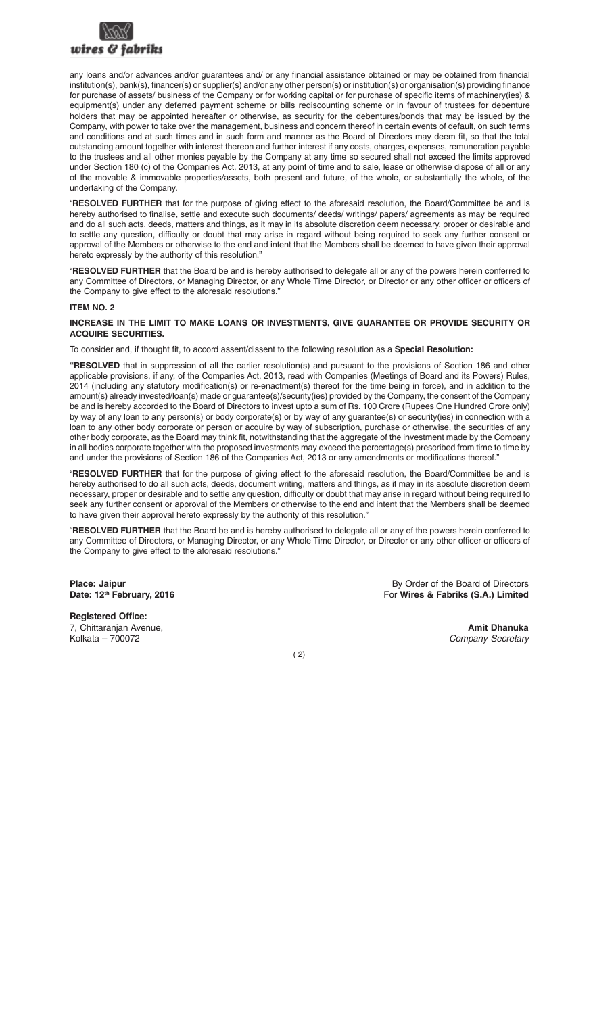

any loans and/or advances and/or guarantees and/ or any financial assistance obtained or may be obtained from financial institution(s), bank(s), financer(s) or supplier(s) and/or any other person(s) or institution(s) or organisation(s) providing finance for purchase of assets/ business of the Company or for working capital or for purchase of specific items of machinery(ies) & equipment(s) under any deferred payment scheme or bills rediscounting scheme or in favour of trustees for debenture holders that may be appointed hereafter or otherwise, as security for the debentures/bonds that may be issued by the Company, with power to take over the management, business and concern thereof in certain events of default, on such terms and conditions and at such times and in such form and manner as the Board of Directors may deem fit, so that the total outstanding amount together with interest thereon and further interest if any costs, charges, expenses, remuneration payable to the trustees and all other monies payable by the Company at any time so secured shall not exceed the limits approved under Section 180 (c) of the Companies Act, 2013, at any point of time and to sale, lease or otherwise dispose of all or any of the movable & immovable properties/assets, both present and future, of the whole, or substantially the whole, of the undertaking of the Company.

"**RESOLVED FURTHER** that for the purpose of giving effect to the aforesaid resolution, the Board/Committee be and is hereby authorised to finalise, settle and execute such documents/ deeds/ writings/ papers/ agreements as may be required and do all such acts, deeds, matters and things, as it may in its absolute discretion deem necessary, proper or desirable and to settle any question, difficulty or doubt that may arise in regard without being required to seek any further consent or approval of the Members or otherwise to the end and intent that the Members shall be deemed to have given their approval hereto expressly by the authority of this resolution."

"**RESOLVED FURTHER** that the Board be and is hereby authorised to delegate all or any of the powers herein conferred to any Committee of Directors, or Managing Director, or any Whole Time Director, or Director or any other officer or officers of the Company to give effect to the aforesaid resolutions.

#### **ITEM NO. 2**

#### **INCREASE IN THE LIMIT TO MAKE LOANS OR INVESTMENTS, GIVE GUARANTEE OR PROVIDE SECURITY OR ACQUIRE SECURITIES.**

To consider and, if thought fit, to accord assent/dissent to the following resolution as a **Special Resolution:**

**"RESOLVED** that in suppression of all the earlier resolution(s) and pursuant to the provisions of Section 186 and other applicable provisions, if any, of the Companies Act, 2013, read with Companies (Meetings of Board and its Powers) Rules, 2014 (including any statutory modification(s) or re-enactment(s) thereof for the time being in force), and in addition to the amount(s) already invested/loan(s) made or guarantee(s)/security(ies) provided by the Company, the consent of the Company be and is hereby accorded to the Board of Directors to invest upto a sum of Rs. 100 Crore (Rupees One Hundred Crore only) by way of any loan to any person(s) or body corporate(s) or by way of any quarantee(s) or security(ies) in connection with a loan to any other body corporate or person or acquire by way of subscription, purchase or otherwise, the securities of any other body corporate, as the Board may think fit, notwithstanding that the aggregate of the investment made by the Company in all bodies corporate together with the proposed investments may exceed the percentage(s) prescribed from time to time by and under the provisions of Section 186 of the Companies Act, 2013 or any amendments or modifications thereof."

"**RESOLVED FURTHER** that for the purpose of giving effect to the aforesaid resolution, the Board/Committee be and is hereby authorised to do all such acts, deeds, document writing, matters and things, as it may in its absolute discretion deem necessary, proper or desirable and to settle any question, difficulty or doubt that may arise in regard without being required to seek any further consent or approval of the Members or otherwise to the end and intent that the Members shall be deemed to have given their approval hereto expressly by the authority of this resolution.'

"**RESOLVED FURTHER** that the Board be and is hereby authorised to delegate all or any of the powers herein conferred to any Committee of Directors, or Managing Director, or any Whole Time Director, or Director or any other officer or officers of the Company to give effect to the aforesaid resolutions."

**Registered Office:** 7, Chittaranjan Avenue, **Amit Dhanuka** and **Amit Dhanuka** and **Amit Dhanuka** and **Amit Dhanuka** and **Amit Dhanuka** 

Kolkata – 700072 *Company Secretary*

**Place: Jaipur** By Order of the Board of Directors<br> **Date: 12<sup>th</sup> February, 2016 Contract Contract Contract Contract Contract Contract Contract Contract Contract Contract Contract Contract Contract Contract Contract Cont Date: 12th February, 2016** For **Wires & Fabriks (S.A.) Limited**

( 2)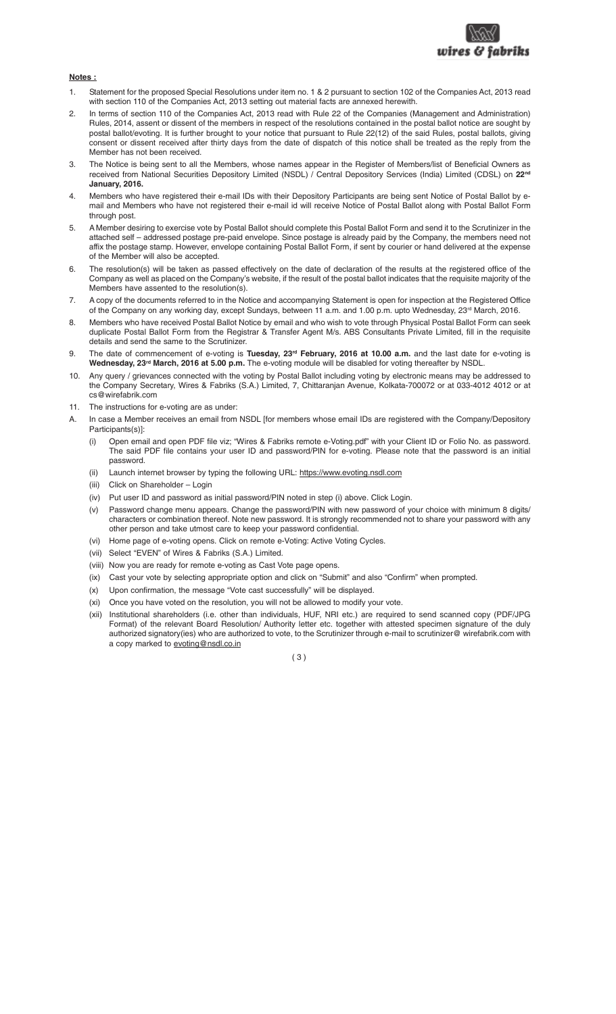

### **Notes :**

- 1. Statement for the proposed Special Resolutions under item no. 1 & 2 pursuant to section 102 of the Companies Act, 2013 read with section 110 of the Companies Act, 2013 setting out material facts are annexed herewith.
- 2. In terms of section 110 of the Companies Act, 2013 read with Rule 22 of the Companies (Management and Administration) Rules, 2014, assent or dissent of the members in respect of the resolutions contained in the postal ballot notice are sought by postal ballot/evoting. It is further brought to your notice that pursuant to Rule 22(12) of the said Rules, postal ballots, giving consent or dissent received after thirty days from the date of dispatch of this notice shall be treated as the reply from the Member has not been received.
- 3. The Notice is being sent to all the Members, whose names appear in the Register of Members/list of Beneficial Owners as received from National Securities Depository Limited (NSDL) / Central Depository Services (India) Limited (CDSL) on **22nd January, 2016.**
- 4. Members who have registered their e-mail IDs with their Depository Participants are being sent Notice of Postal Ballot by email and Members who have not registered their e-mail id will receive Notice of Postal Ballot along with Postal Ballot Form through post.
- 5. A Member desiring to exercise vote by Postal Ballot should complete this Postal Ballot Form and send it to the Scrutinizer in the attached self – addressed postage pre-paid envelope. Since postage is already paid by the Company, the members need not affix the postage stamp. However, envelope containing Postal Ballot Form, if sent by courier or hand delivered at the expense of the Member will also be accepted.
- 6. The resolution(s) will be taken as passed effectively on the date of declaration of the results at the registered office of the Company as well as placed on the Company's website, if the result of the postal ballot indicates that the requisite majority of the Members have assented to the resolution(s).
- 7. A copy of the documents referred to in the Notice and accompanying Statement is open for inspection at the Registered Office of the Company on any working day, except Sundays, between 11 a.m. and 1.00 p.m. upto Wednesday, 23<sup>rd</sup> March, 2016.
- 8. Members who have received Postal Ballot Notice by email and who wish to vote through Physical Postal Ballot Form can seek duplicate Postal Ballot Form from the Registrar & Transfer Agent M/s. ABS Consultants Private Limited, fill in the requisite details and send the same to the Scrutinizer.
- 9. The date of commencement of e-voting is **Tuesday, 23rd February, 2016 at 10.00 a.m.** and the last date for e-voting is **Wednesday, 23rd March, 2016 at 5.00 p.m.** The e-voting module will be disabled for voting thereafter by NSDL.
- 10. Any query / grievances connected with the voting by Postal Ballot including voting by electronic means may be addressed to the Company Secretary, Wires & Fabriks (S.A.) Limited, 7, Chittaranjan Avenue, Kolkata-700072 or at 033-4012 4012 or at cs@wirefabrik.com
- 11. The instructions for e-voting are as under:
- In case a Member receives an email from NSDL [for members whose email IDs are registered with the Company/Depository Participants(s)]:
	- (i) Open email and open PDF file viz; "Wires & Fabriks remote e-Voting.pdf" with your Client ID or Folio No. as password. The said PDF file contains your user ID and password/PIN for e-voting. Please note that the password is an initial password.
	- (ii) Launch internet browser by typing the following URL: https://www.evoting.nsdl.com
	- (iii) Click on Shareholder Login
	- (iv) Put user ID and password as initial password/PIN noted in step (i) above. Click Login.
	- (v) Password change menu appears. Change the password/PIN with new password of your choice with minimum 8 digits/ characters or combination thereof. Note new password. It is strongly recommended not to share your password with any other person and take utmost care to keep your password confidential.
	- (vi) Home page of e-voting opens. Click on remote e-Voting: Active Voting Cycles.
	- (vii) Select "EVEN" of Wires & Fabriks (S.A.) Limited.
	- (viii) Now you are ready for remote e-voting as Cast Vote page opens.
	- (ix) Cast your vote by selecting appropriate option and click on "Submit" and also "Confirm" when prompted.
	- (x) Upon confirmation, the message "Vote cast successfully" will be displayed.
	- (xi) Once you have voted on the resolution, you will not be allowed to modify your vote.
	- (xii) Institutional shareholders (i.e. other than individuals, HUF, NRI etc.) are required to send scanned copy (PDF/JPG Format) of the relevant Board Resolution/ Authority letter etc. together with attested specimen signature of the duly authorized signatory(ies) who are authorized to vote, to the Scrutinizer through e-mail to scrutinizer@ wirefabrik.com with a copy marked to evoting@nsdl.co.in

( 3 )